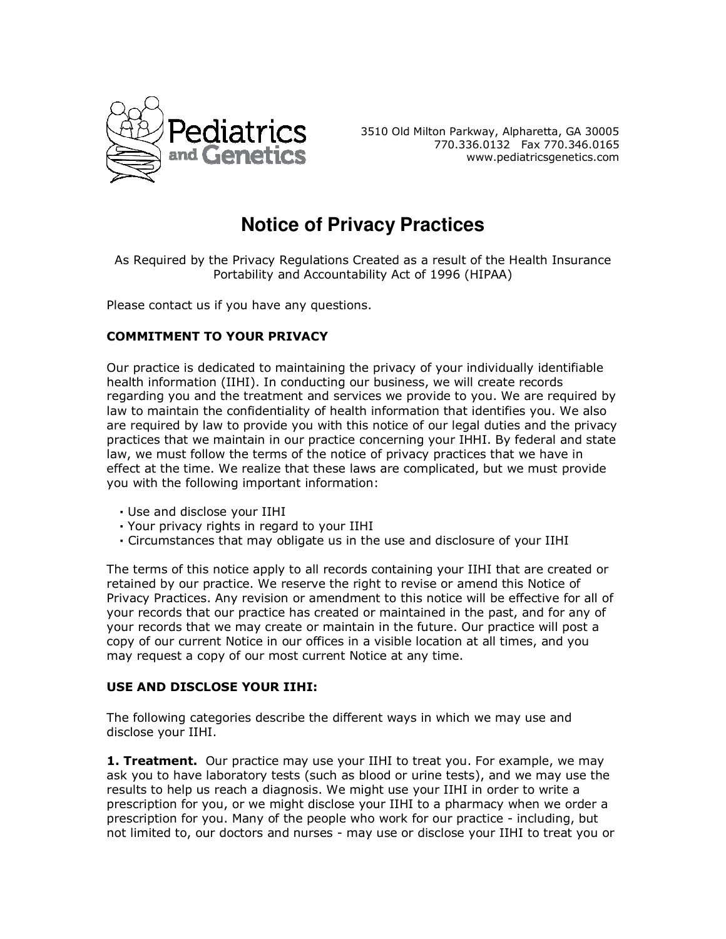

3510 Old Milton Parkway, Alpharetta, GA 30005 770.336.0132 Fax 770.346.0165 www.pediatricsgenetics.com

# **Notice of Privacy Practices**

As Required by the Privacy Regulations Created as a result of the Health Insurance Portability and Accountability Act of 1996 (HIPAA)

Please contact us if you have any questions.

# **COMMITMENT TO YOUR PRIVACY**

Our practice is dedicated to maintaining the privacy of your individually identifiable health information (IIHI). In conducting our business, we will create records regarding you and the treatment and services we provide to you. We are required by law to maintain the confidentiality of health information that identifies you. We also are required by law to provide you with this notice of our legal duties and the privacy practices that we maintain in our practice concerning your IHHI. By federal and state law, we must follow the terms of the notice of privacy practices that we have in effect at the time. We realize that these laws are complicated, but we must provide you with the following important information:

- **·** Use and disclose your IIHI
- **·** Your privacy rights in regard to your IIHI
- **·** Circumstances that may obligate us in the use and disclosure of your IIHI

The terms of this notice apply to all records containing your IIHI that are created or retained by our practice. We reserve the right to revise or amend this Notice of Privacy Practices. Any revision or amendment to this notice will be effective for all of your records that our practice has created or maintained in the past, and for any of your records that we may create or maintain in the future. Our practice will post a copy of our current Notice in our offices in a visible location at all times, and you may request a copy of our most current Notice at any time.

#### **USE AND DISCLOSE YOUR IIHI:**

The following categories describe the different ways in which we may use and disclose your IIHI.

**1. Treatment.** Our practice may use your IIHI to treat you. For example, we may ask you to have laboratory tests (such as blood or urine tests), and we may use the results to help us reach a diagnosis. We might use your IIHI in order to write a prescription for you, or we might disclose your IIHI to a pharmacy when we order a prescription for you. Many of the people who work for our practice - including, but not limited to, our doctors and nurses - may use or disclose your IIHI to treat you or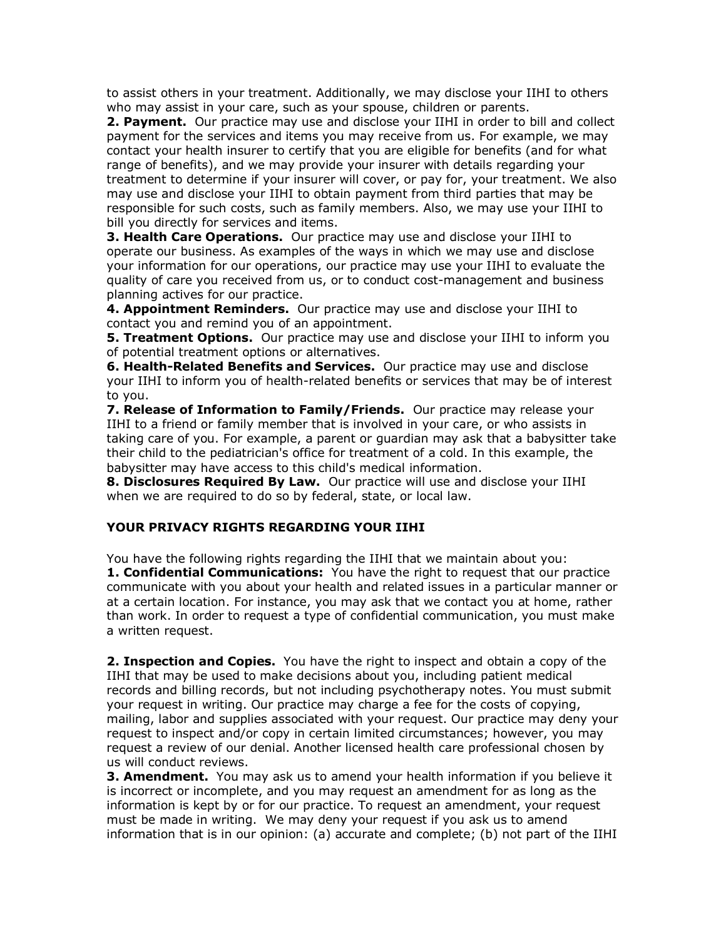to assist others in your treatment. Additionally, we may disclose your IIHI to others who may assist in your care, such as your spouse, children or parents.

**2. Payment.** Our practice may use and disclose your IIHI in order to bill and collect payment for the services and items you may receive from us. For example, we may contact your health insurer to certify that you are eligible for benefits (and for what range of benefits), and we may provide your insurer with details regarding your treatment to determine if your insurer will cover, or pay for, your treatment. We also may use and disclose your IIHI to obtain payment from third parties that may be responsible for such costs, such as family members. Also, we may use your IIHI to bill you directly for services and items.

**3. Health Care Operations.** Our practice may use and disclose your IIHI to operate our business. As examples of the ways in which we may use and disclose your information for our operations, our practice may use your IIHI to evaluate the quality of care you received from us, or to conduct cost-management and business planning actives for our practice.

**4. Appointment Reminders.** Our practice may use and disclose your IIHI to contact you and remind you of an appointment.

**5. Treatment Options.** Our practice may use and disclose your IIHI to inform you of potential treatment options or alternatives.

**6. Health-Related Benefits and Services.** Our practice may use and disclose your IIHI to inform you of health-related benefits or services that may be of interest to you.

**7. Release of Information to Family/Friends.** Our practice may release your IIHI to a friend or family member that is involved in your care, or who assists in taking care of you. For example, a parent or guardian may ask that a babysitter take their child to the pediatrician's office for treatment of a cold. In this example, the babysitter may have access to this child's medical information.

**8. Disclosures Required By Law.** Our practice will use and disclose your IIHI when we are required to do so by federal, state, or local law.

## **YOUR PRIVACY RIGHTS REGARDING YOUR IIHI**

You have the following rights regarding the IIHI that we maintain about you: **1. Confidential Communications:** You have the right to request that our practice communicate with you about your health and related issues in a particular manner or at a certain location. For instance, you may ask that we contact you at home, rather than work. In order to request a type of confidential communication, you must make a written request.

**2. Inspection and Copies.** You have the right to inspect and obtain a copy of the IIHI that may be used to make decisions about you, including patient medical records and billing records, but not including psychotherapy notes. You must submit your request in writing. Our practice may charge a fee for the costs of copying, mailing, labor and supplies associated with your request. Our practice may deny your request to inspect and/or copy in certain limited circumstances; however, you may request a review of our denial. Another licensed health care professional chosen by us will conduct reviews.

**3. Amendment.** You may ask us to amend your health information if you believe it is incorrect or incomplete, and you may request an amendment for as long as the information is kept by or for our practice. To request an amendment, your request must be made in writing. We may deny your request if you ask us to amend information that is in our opinion: (a) accurate and complete; (b) not part of the IIHI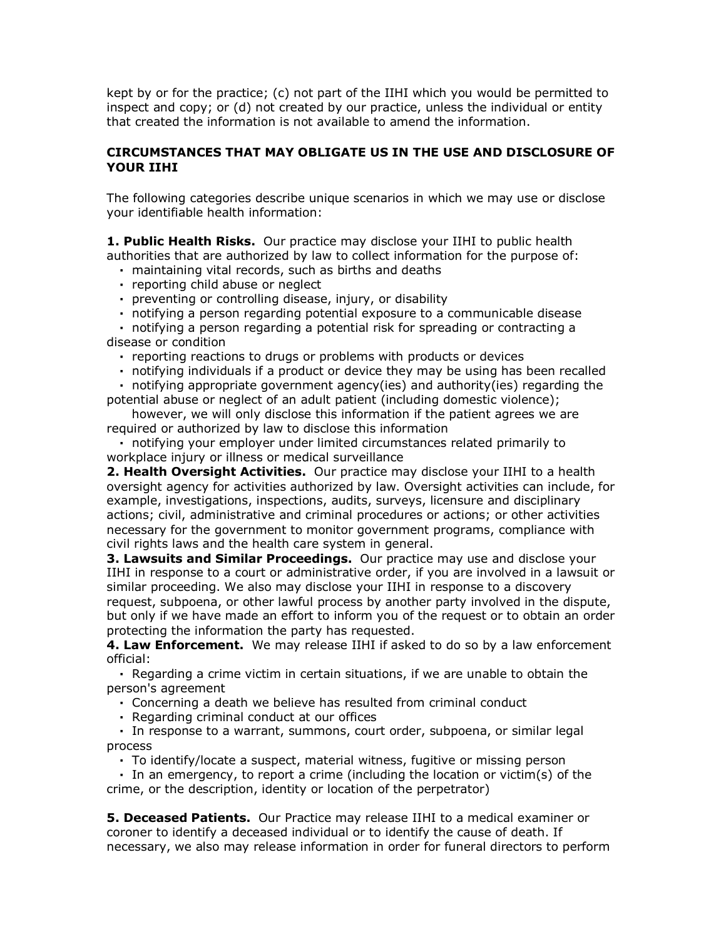kept by or for the practice; (c) not part of the IIHI which you would be permitted to inspect and copy; or (d) not created by our practice, unless the individual or entity that created the information is not available to amend the information.

## **CIRCUMSTANCES THAT MAY OBLIGATE US IN THE USE AND DISCLOSURE OF YOUR IIHI**

The following categories describe unique scenarios in which we may use or disclose your identifiable health information:

**1. Public Health Risks.** Our practice may disclose your IIHI to public health authorities that are authorized by law to collect information for the purpose of:

- **·** maintaining vital records, such as births and deaths
- **·** reporting child abuse or neglect
- **·** preventing or controlling disease, injury, or disability
- **·** notifying a person regarding potential exposure to a communicable disease

 **·** notifying a person regarding a potential risk for spreading or contracting a disease or condition

- **·** reporting reactions to drugs or problems with products or devices
- **·** notifying individuals if a product or device they may be using has been recalled

 **·** notifying appropriate government agency(ies) and authority(ies) regarding the potential abuse or neglect of an adult patient (including domestic violence);

 however, we will only disclose this information if the patient agrees we are required or authorized by law to disclose this information

 **·** notifying your employer under limited circumstances related primarily to workplace injury or illness or medical surveillance

**2. Health Oversight Activities.** Our practice may disclose your IIHI to a health oversight agency for activities authorized by law. Oversight activities can include, for example, investigations, inspections, audits, surveys, licensure and disciplinary actions; civil, administrative and criminal procedures or actions; or other activities necessary for the government to monitor government programs, compliance with civil rights laws and the health care system in general.

**3. Lawsuits and Similar Proceedings.** Our practice may use and disclose your IIHI in response to a court or administrative order, if you are involved in a lawsuit or similar proceeding. We also may disclose your IIHI in response to a discovery request, subpoena, or other lawful process by another party involved in the dispute, but only if we have made an effort to inform you of the request or to obtain an order protecting the information the party has requested.

**4. Law Enforcement.** We may release IIHI if asked to do so by a law enforcement official:

 **·** Regarding a crime victim in certain situations, if we are unable to obtain the person's agreement

- **·** Concerning a death we believe has resulted from criminal conduct
- **·** Regarding criminal conduct at our offices

 **·** In response to a warrant, summons, court order, subpoena, or similar legal process

**·** To identify/locate a suspect, material witness, fugitive or missing person

 **·** In an emergency, to report a crime (including the location or victim(s) of the crime, or the description, identity or location of the perpetrator)

**5. Deceased Patients.** Our Practice may release IIHI to a medical examiner or coroner to identify a deceased individual or to identify the cause of death. If necessary, we also may release information in order for funeral directors to perform